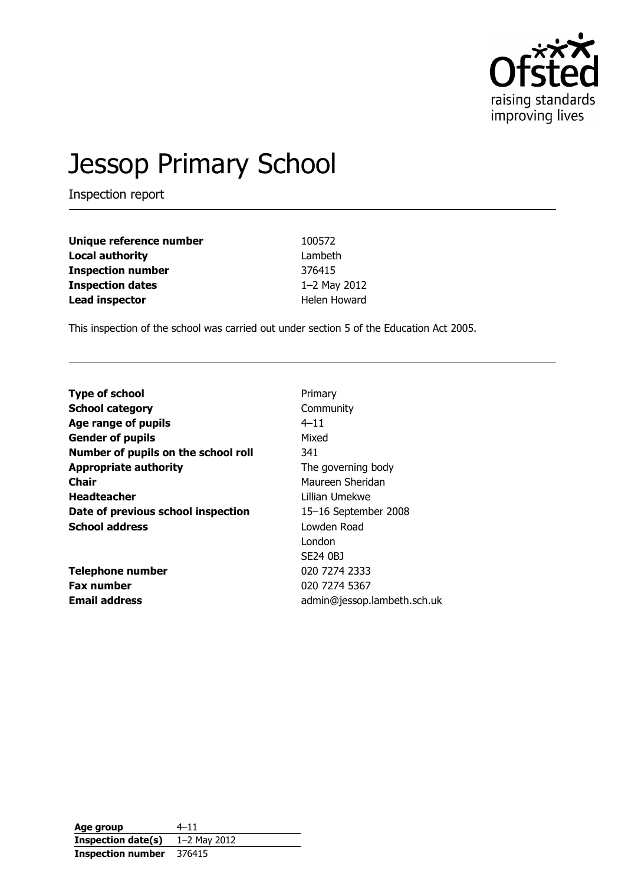

# Jessop Primary School

Inspection report

| Unique reference number  | 100572       |
|--------------------------|--------------|
| <b>Local authority</b>   | Lambeth      |
| <b>Inspection number</b> | 376415       |
| <b>Inspection dates</b>  | 1-2 May 2012 |
| <b>Lead inspector</b>    | Helen Howard |

This inspection of the school was carried out under section 5 of the Education Act 2005.

| <b>Type of school</b>               | Primary                     |
|-------------------------------------|-----------------------------|
| <b>School category</b>              | Community                   |
| Age range of pupils                 | $4 - 11$                    |
| <b>Gender of pupils</b>             | Mixed                       |
| Number of pupils on the school roll | 341                         |
| <b>Appropriate authority</b>        | The governing body          |
| <b>Chair</b>                        | Maureen Sheridan            |
| <b>Headteacher</b>                  | Lillian Umekwe              |
| Date of previous school inspection  | 15-16 September 2008        |
| <b>School address</b>               | Lowden Road                 |
|                                     | London                      |
|                                     | SE24 0BJ                    |
| <b>Telephone number</b>             | 020 7274 2333               |
| <b>Fax number</b>                   | 020 7274 5367               |
| <b>Email address</b>                | admin@jessop.lambeth.sch.uk |

Age group  $4-11$ Inspection date(s) 1-2 May 2012 Inspection number 376415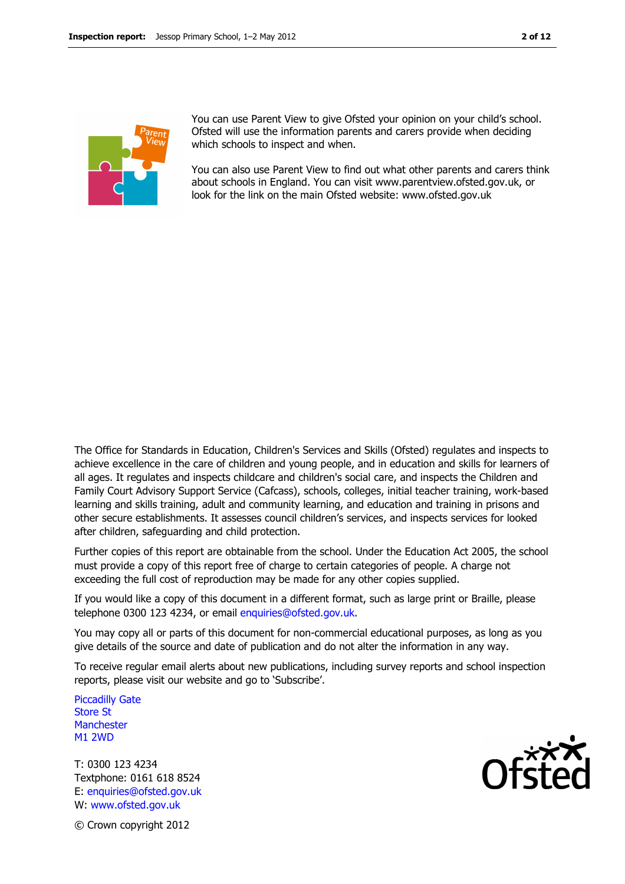

You can use Parent View to give Ofsted your opinion on your child's school. Ofsted will use the information parents and carers provide when deciding which schools to inspect and when.

You can also use Parent View to find out what other parents and carers think about schools in England. You can visit www.parentview.ofsted.gov.uk, or look for the link on the main Ofsted website: www.ofsted.gov.uk

The Office for Standards in Education, Children's Services and Skills (Ofsted) regulates and inspects to achieve excellence in the care of children and young people, and in education and skills for learners of all ages. It regulates and inspects childcare and children's social care, and inspects the Children and Family Court Advisory Support Service (Cafcass), schools, colleges, initial teacher training, work-based learning and skills training, adult and community learning, and education and training in prisons and other secure establishments. It assesses council children's services, and inspects services for looked after children, safeguarding and child protection.

Further copies of this report are obtainable from the school. Under the Education Act 2005, the school must provide a copy of this report free of charge to certain categories of people. A charge not exceeding the full cost of reproduction may be made for any other copies supplied.

If you would like a copy of this document in a different format, such as large print or Braille, please telephone 0300 123 4234, or email enquiries@ofsted.gov.uk.

You may copy all or parts of this document for non-commercial educational purposes, as long as you give details of the source and date of publication and do not alter the information in any way.

To receive regular email alerts about new publications, including survey reports and school inspection reports, please visit our website and go to 'Subscribe'.

Piccadilly Gate Store St **Manchester** M1 2WD

T: 0300 123 4234 Textphone: 0161 618 8524 E: enquiries@ofsted.gov.uk W: www.ofsted.gov.uk



© Crown copyright 2012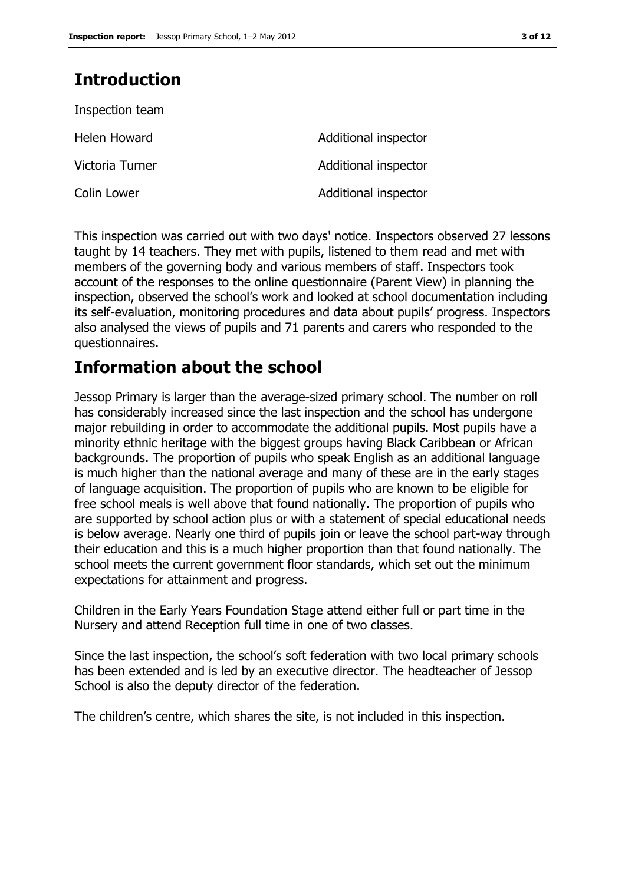# Introduction

| Inspection team |                      |
|-----------------|----------------------|
| Helen Howard    | Additional inspector |
| Victoria Turner | Additional inspector |
| Colin Lower     | Additional inspector |

This inspection was carried out with two days' notice. Inspectors observed 27 lessons taught by 14 teachers. They met with pupils, listened to them read and met with members of the governing body and various members of staff. Inspectors took account of the responses to the online questionnaire (Parent View) in planning the inspection, observed the school's work and looked at school documentation including its self-evaluation, monitoring procedures and data about pupils' progress. Inspectors also analysed the views of pupils and 71 parents and carers who responded to the questionnaires.

# Information about the school

Jessop Primary is larger than the average-sized primary school. The number on roll has considerably increased since the last inspection and the school has undergone major rebuilding in order to accommodate the additional pupils. Most pupils have a minority ethnic heritage with the biggest groups having Black Caribbean or African backgrounds. The proportion of pupils who speak English as an additional language is much higher than the national average and many of these are in the early stages of language acquisition. The proportion of pupils who are known to be eligible for free school meals is well above that found nationally. The proportion of pupils who are supported by school action plus or with a statement of special educational needs is below average. Nearly one third of pupils join or leave the school part-way through their education and this is a much higher proportion than that found nationally. The school meets the current government floor standards, which set out the minimum expectations for attainment and progress.

Children in the Early Years Foundation Stage attend either full or part time in the Nursery and attend Reception full time in one of two classes.

Since the last inspection, the school's soft federation with two local primary schools has been extended and is led by an executive director. The headteacher of Jessop School is also the deputy director of the federation.

The children's centre, which shares the site, is not included in this inspection.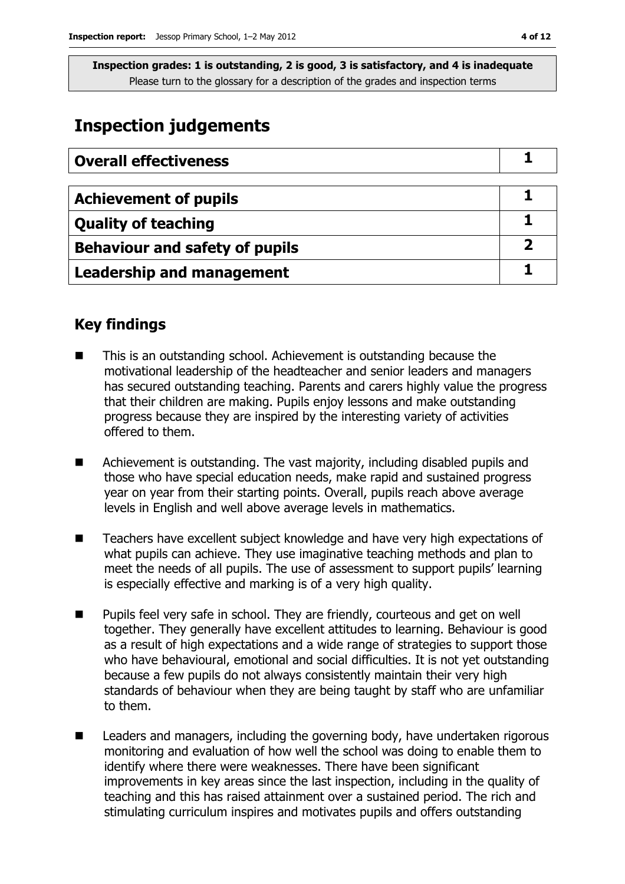## Inspection judgements

| <b>Overall effectiveness</b>          |  |
|---------------------------------------|--|
|                                       |  |
| <b>Achievement of pupils</b>          |  |
| <b>Quality of teaching</b>            |  |
| <b>Behaviour and safety of pupils</b> |  |
| <b>Leadership and management</b>      |  |

### Key findings

- This is an outstanding school. Achievement is outstanding because the motivational leadership of the headteacher and senior leaders and managers has secured outstanding teaching. Parents and carers highly value the progress that their children are making. Pupils enjoy lessons and make outstanding progress because they are inspired by the interesting variety of activities offered to them.
- Achievement is outstanding. The vast majority, including disabled pupils and those who have special education needs, make rapid and sustained progress year on year from their starting points. Overall, pupils reach above average levels in English and well above average levels in mathematics.
- Teachers have excellent subject knowledge and have very high expectations of what pupils can achieve. They use imaginative teaching methods and plan to meet the needs of all pupils. The use of assessment to support pupils' learning is especially effective and marking is of a very high quality.
- **Pupils feel very safe in school. They are friendly, courteous and get on well** together. They generally have excellent attitudes to learning. Behaviour is good as a result of high expectations and a wide range of strategies to support those who have behavioural, emotional and social difficulties. It is not yet outstanding because a few pupils do not always consistently maintain their very high standards of behaviour when they are being taught by staff who are unfamiliar to them.
- Leaders and managers, including the governing body, have undertaken rigorous monitoring and evaluation of how well the school was doing to enable them to identify where there were weaknesses. There have been significant improvements in key areas since the last inspection, including in the quality of teaching and this has raised attainment over a sustained period. The rich and stimulating curriculum inspires and motivates pupils and offers outstanding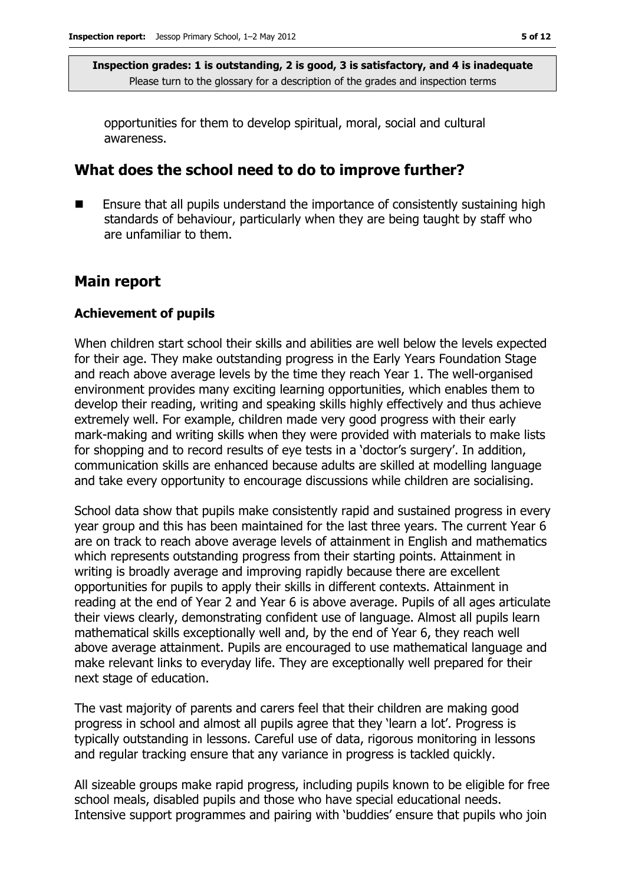opportunities for them to develop spiritual, moral, social and cultural awareness.

### What does the school need to do to improve further?

 Ensure that all pupils understand the importance of consistently sustaining high standards of behaviour, particularly when they are being taught by staff who are unfamiliar to them.

### Main report

#### Achievement of pupils

When children start school their skills and abilities are well below the levels expected for their age. They make outstanding progress in the Early Years Foundation Stage and reach above average levels by the time they reach Year 1. The well-organised environment provides many exciting learning opportunities, which enables them to develop their reading, writing and speaking skills highly effectively and thus achieve extremely well. For example, children made very good progress with their early mark-making and writing skills when they were provided with materials to make lists for shopping and to record results of eye tests in a 'doctor's surgery'. In addition, communication skills are enhanced because adults are skilled at modelling language and take every opportunity to encourage discussions while children are socialising.

School data show that pupils make consistently rapid and sustained progress in every year group and this has been maintained for the last three years. The current Year 6 are on track to reach above average levels of attainment in English and mathematics which represents outstanding progress from their starting points. Attainment in writing is broadly average and improving rapidly because there are excellent opportunities for pupils to apply their skills in different contexts. Attainment in reading at the end of Year 2 and Year 6 is above average. Pupils of all ages articulate their views clearly, demonstrating confident use of language. Almost all pupils learn mathematical skills exceptionally well and, by the end of Year 6, they reach well above average attainment. Pupils are encouraged to use mathematical language and make relevant links to everyday life. They are exceptionally well prepared for their next stage of education.

The vast majority of parents and carers feel that their children are making good progress in school and almost all pupils agree that they 'learn a lot'. Progress is typically outstanding in lessons. Careful use of data, rigorous monitoring in lessons and regular tracking ensure that any variance in progress is tackled quickly.

All sizeable groups make rapid progress, including pupils known to be eligible for free school meals, disabled pupils and those who have special educational needs. Intensive support programmes and pairing with 'buddies' ensure that pupils who join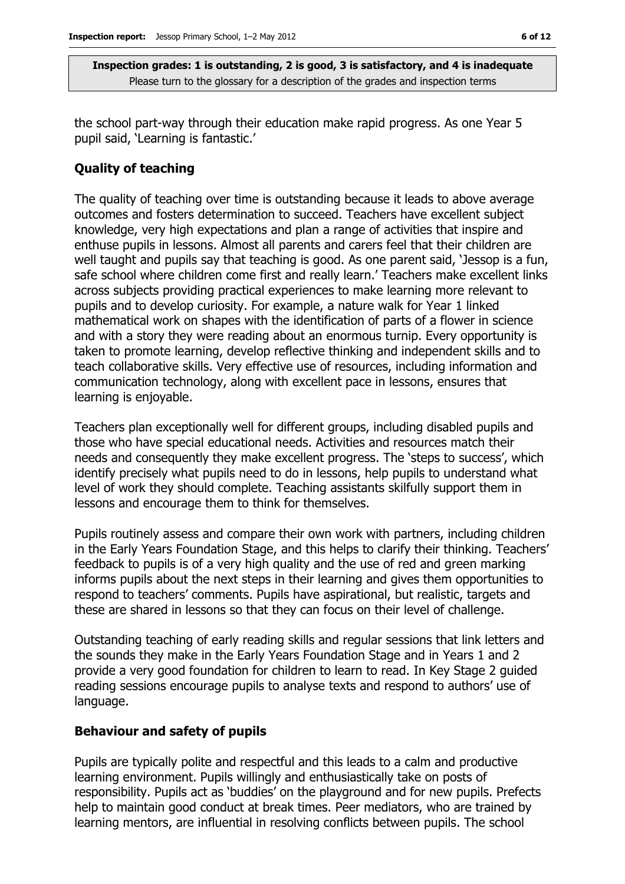the school part-way through their education make rapid progress. As one Year 5 pupil said, 'Learning is fantastic.'

#### Quality of teaching

The quality of teaching over time is outstanding because it leads to above average outcomes and fosters determination to succeed. Teachers have excellent subject knowledge, very high expectations and plan a range of activities that inspire and enthuse pupils in lessons. Almost all parents and carers feel that their children are well taught and pupils say that teaching is good. As one parent said, 'Jessop is a fun, safe school where children come first and really learn.' Teachers make excellent links across subjects providing practical experiences to make learning more relevant to pupils and to develop curiosity. For example, a nature walk for Year 1 linked mathematical work on shapes with the identification of parts of a flower in science and with a story they were reading about an enormous turnip. Every opportunity is taken to promote learning, develop reflective thinking and independent skills and to teach collaborative skills. Very effective use of resources, including information and communication technology, along with excellent pace in lessons, ensures that learning is enjoyable.

Teachers plan exceptionally well for different groups, including disabled pupils and those who have special educational needs. Activities and resources match their needs and consequently they make excellent progress. The 'steps to success', which identify precisely what pupils need to do in lessons, help pupils to understand what level of work they should complete. Teaching assistants skilfully support them in lessons and encourage them to think for themselves.

Pupils routinely assess and compare their own work with partners, including children in the Early Years Foundation Stage, and this helps to clarify their thinking. Teachers' feedback to pupils is of a very high quality and the use of red and green marking informs pupils about the next steps in their learning and gives them opportunities to respond to teachers' comments. Pupils have aspirational, but realistic, targets and these are shared in lessons so that they can focus on their level of challenge.

Outstanding teaching of early reading skills and regular sessions that link letters and the sounds they make in the Early Years Foundation Stage and in Years 1 and 2 provide a very good foundation for children to learn to read. In Key Stage 2 guided reading sessions encourage pupils to analyse texts and respond to authors' use of language.

#### Behaviour and safety of pupils

Pupils are typically polite and respectful and this leads to a calm and productive learning environment. Pupils willingly and enthusiastically take on posts of responsibility. Pupils act as 'buddies' on the playground and for new pupils. Prefects help to maintain good conduct at break times. Peer mediators, who are trained by learning mentors, are influential in resolving conflicts between pupils. The school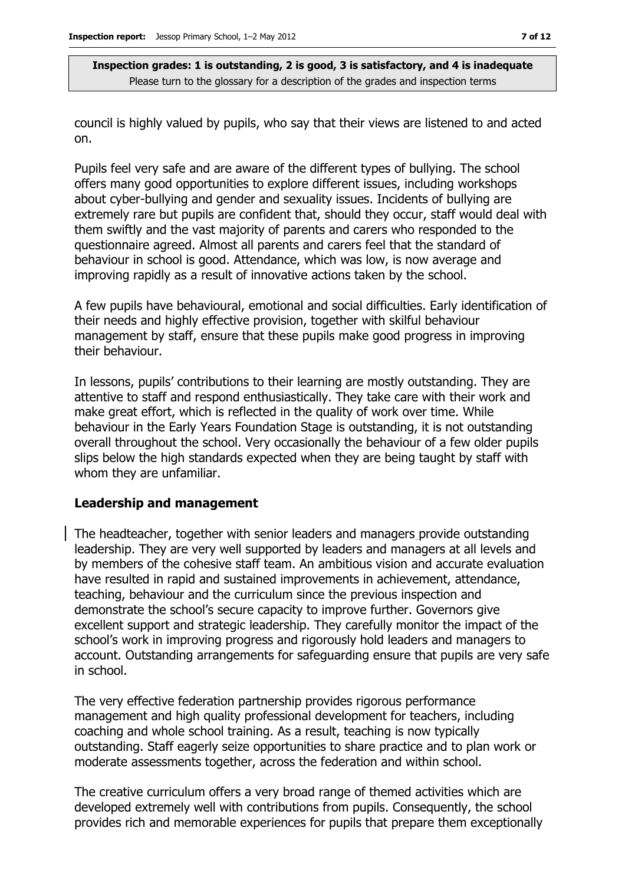council is highly valued by pupils, who say that their views are listened to and acted on.

Pupils feel very safe and are aware of the different types of bullying. The school offers many good opportunities to explore different issues, including workshops about cyber-bullying and gender and sexuality issues. Incidents of bullying are extremely rare but pupils are confident that, should they occur, staff would deal with them swiftly and the vast majority of parents and carers who responded to the questionnaire agreed. Almost all parents and carers feel that the standard of behaviour in school is good. Attendance, which was low, is now average and improving rapidly as a result of innovative actions taken by the school.

A few pupils have behavioural, emotional and social difficulties. Early identification of their needs and highly effective provision, together with skilful behaviour management by staff, ensure that these pupils make good progress in improving their behaviour.

In lessons, pupils' contributions to their learning are mostly outstanding. They are attentive to staff and respond enthusiastically. They take care with their work and make great effort, which is reflected in the quality of work over time. While behaviour in the Early Years Foundation Stage is outstanding, it is not outstanding overall throughout the school. Very occasionally the behaviour of a few older pupils slips below the high standards expected when they are being taught by staff with whom they are unfamiliar.

#### Leadership and management

The headteacher, together with senior leaders and managers provide outstanding leadership. They are very well supported by leaders and managers at all levels and by members of the cohesive staff team. An ambitious vision and accurate evaluation have resulted in rapid and sustained improvements in achievement, attendance, teaching, behaviour and the curriculum since the previous inspection and demonstrate the school's secure capacity to improve further. Governors give excellent support and strategic leadership. They carefully monitor the impact of the school's work in improving progress and rigorously hold leaders and managers to account. Outstanding arrangements for safeguarding ensure that pupils are very safe in school.

The very effective federation partnership provides rigorous performance management and high quality professional development for teachers, including coaching and whole school training. As a result, teaching is now typically outstanding. Staff eagerly seize opportunities to share practice and to plan work or moderate assessments together, across the federation and within school.

The creative curriculum offers a very broad range of themed activities which are developed extremely well with contributions from pupils. Consequently, the school provides rich and memorable experiences for pupils that prepare them exceptionally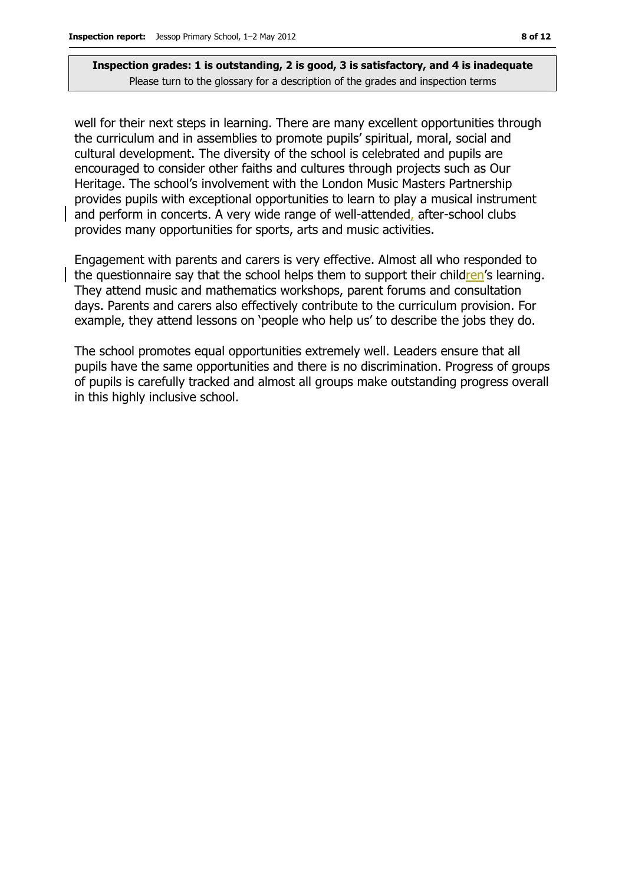well for their next steps in learning. There are many excellent opportunities through the curriculum and in assemblies to promote pupils' spiritual, moral, social and cultural development. The diversity of the school is celebrated and pupils are encouraged to consider other faiths and cultures through projects such as Our Heritage. The school's involvement with the London Music Masters Partnership provides pupils with exceptional opportunities to learn to play a musical instrument and perform in concerts. A very wide range of well-attended, after-school clubs provides many opportunities for sports, arts and music activities.

Engagement with parents and carers is very effective. Almost all who responded to the questionnaire say that the school helps them to support their children's learning. They attend music and mathematics workshops, parent forums and consultation days. Parents and carers also effectively contribute to the curriculum provision. For example, they attend lessons on 'people who help us' to describe the jobs they do.

The school promotes equal opportunities extremely well. Leaders ensure that all pupils have the same opportunities and there is no discrimination. Progress of groups of pupils is carefully tracked and almost all groups make outstanding progress overall in this highly inclusive school.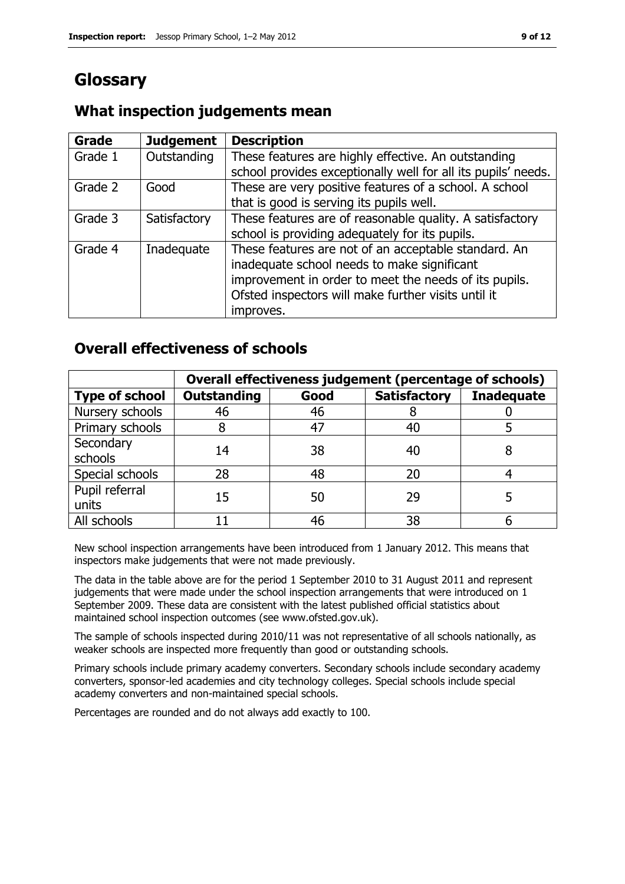# Glossary

### What inspection judgements mean

| Grade   | <b>Judgement</b> | <b>Description</b>                                            |
|---------|------------------|---------------------------------------------------------------|
| Grade 1 | Outstanding      | These features are highly effective. An outstanding           |
|         |                  | school provides exceptionally well for all its pupils' needs. |
| Grade 2 | Good             | These are very positive features of a school. A school        |
|         |                  | that is good is serving its pupils well.                      |
| Grade 3 | Satisfactory     | These features are of reasonable quality. A satisfactory      |
|         |                  | school is providing adequately for its pupils.                |
| Grade 4 | Inadequate       | These features are not of an acceptable standard. An          |
|         |                  | inadequate school needs to make significant                   |
|         |                  | improvement in order to meet the needs of its pupils.         |
|         |                  | Ofsted inspectors will make further visits until it           |
|         |                  | improves.                                                     |

### Overall effectiveness of schools

|                         | Overall effectiveness judgement (percentage of schools) |      |                     |                   |
|-------------------------|---------------------------------------------------------|------|---------------------|-------------------|
| <b>Type of school</b>   | <b>Outstanding</b>                                      | Good | <b>Satisfactory</b> | <b>Inadequate</b> |
| Nursery schools         | 46                                                      | 46   |                     |                   |
| Primary schools         |                                                         | 47   | 40                  |                   |
| Secondary<br>schools    | 14                                                      | 38   | 40                  |                   |
| Special schools         | 28                                                      | 48   | 20                  |                   |
| Pupil referral<br>units | 15                                                      | 50   | 29                  |                   |
| All schools             |                                                         | 46   | 38                  |                   |

New school inspection arrangements have been introduced from 1 January 2012. This means that inspectors make judgements that were not made previously.

The data in the table above are for the period 1 September 2010 to 31 August 2011 and represent judgements that were made under the school inspection arrangements that were introduced on 1 September 2009. These data are consistent with the latest published official statistics about maintained school inspection outcomes (see www.ofsted.gov.uk).

The sample of schools inspected during 2010/11 was not representative of all schools nationally, as weaker schools are inspected more frequently than good or outstanding schools.

Primary schools include primary academy converters. Secondary schools include secondary academy converters, sponsor-led academies and city technology colleges. Special schools include special academy converters and non-maintained special schools.

Percentages are rounded and do not always add exactly to 100.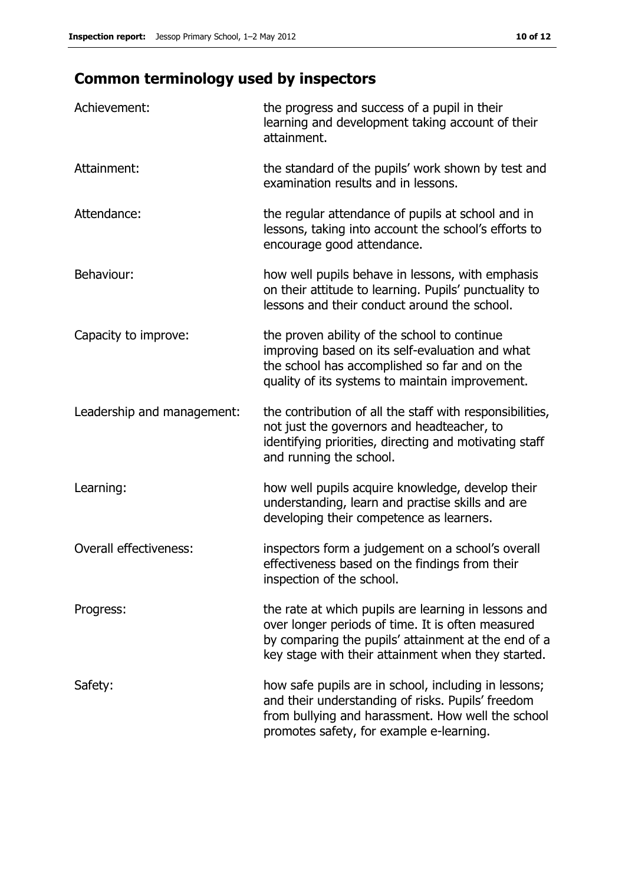# Common terminology used by inspectors

| Achievement:                  | the progress and success of a pupil in their<br>learning and development taking account of their<br>attainment.                                                                                                        |
|-------------------------------|------------------------------------------------------------------------------------------------------------------------------------------------------------------------------------------------------------------------|
| Attainment:                   | the standard of the pupils' work shown by test and<br>examination results and in lessons.                                                                                                                              |
| Attendance:                   | the regular attendance of pupils at school and in<br>lessons, taking into account the school's efforts to<br>encourage good attendance.                                                                                |
| Behaviour:                    | how well pupils behave in lessons, with emphasis<br>on their attitude to learning. Pupils' punctuality to<br>lessons and their conduct around the school.                                                              |
| Capacity to improve:          | the proven ability of the school to continue<br>improving based on its self-evaluation and what<br>the school has accomplished so far and on the<br>quality of its systems to maintain improvement.                    |
| Leadership and management:    | the contribution of all the staff with responsibilities,<br>not just the governors and headteacher, to<br>identifying priorities, directing and motivating staff<br>and running the school.                            |
| Learning:                     | how well pupils acquire knowledge, develop their<br>understanding, learn and practise skills and are<br>developing their competence as learners.                                                                       |
| <b>Overall effectiveness:</b> | inspectors form a judgement on a school's overall<br>effectiveness based on the findings from their<br>inspection of the school.                                                                                       |
| Progress:                     | the rate at which pupils are learning in lessons and<br>over longer periods of time. It is often measured<br>by comparing the pupils' attainment at the end of a<br>key stage with their attainment when they started. |
| Safety:                       | how safe pupils are in school, including in lessons;<br>and their understanding of risks. Pupils' freedom<br>from bullying and harassment. How well the school<br>promotes safety, for example e-learning.             |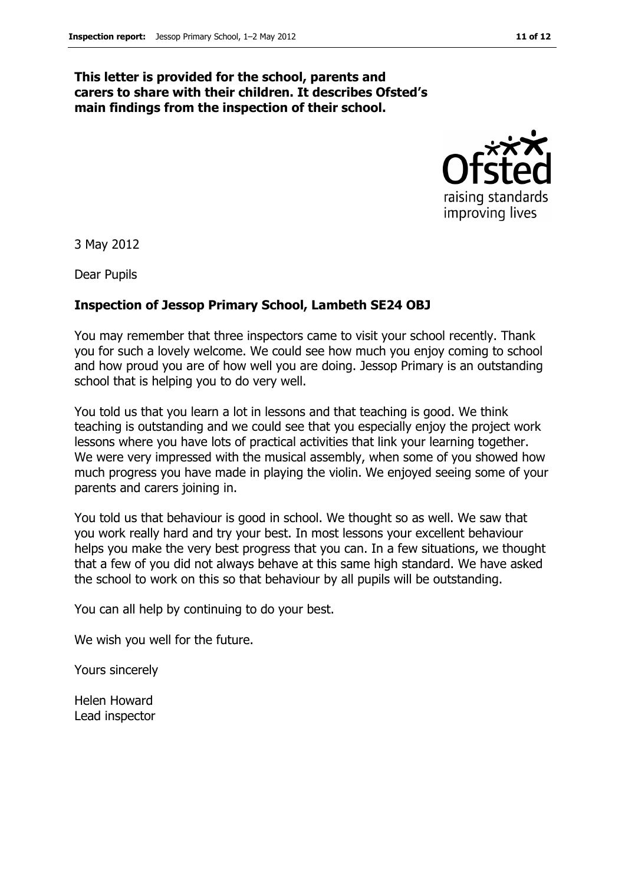#### This letter is provided for the school, parents and carers to share with their children. It describes Ofsted's main findings from the inspection of their school.



3 May 2012

Dear Pupils

#### Inspection of Jessop Primary School, Lambeth SE24 OBJ

You may remember that three inspectors came to visit your school recently. Thank you for such a lovely welcome. We could see how much you enjoy coming to school and how proud you are of how well you are doing. Jessop Primary is an outstanding school that is helping you to do very well.

You told us that you learn a lot in lessons and that teaching is good. We think teaching is outstanding and we could see that you especially enjoy the project work lessons where you have lots of practical activities that link your learning together. We were very impressed with the musical assembly, when some of you showed how much progress you have made in playing the violin. We enjoyed seeing some of your parents and carers joining in.

You told us that behaviour is good in school. We thought so as well. We saw that you work really hard and try your best. In most lessons your excellent behaviour helps you make the very best progress that you can. In a few situations, we thought that a few of you did not always behave at this same high standard. We have asked the school to work on this so that behaviour by all pupils will be outstanding.

You can all help by continuing to do your best.

We wish you well for the future.

Yours sincerely

Helen Howard Lead inspector